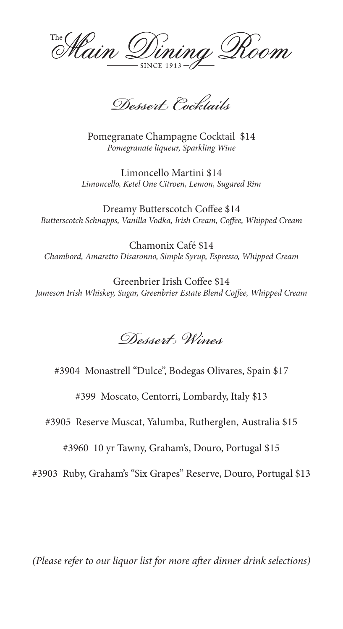The Wain Q ining Room

*Dessert Cocktails*

Pomegranate Champagne Cocktail \$14 *Pomegranate liqueur, Sparkling Wine*

Limoncello Martini \$14 *Limoncello, Ketel One Citroen, Lemon, Sugared Rim*

Dreamy Butterscotch Coffee \$14 *Butterscotch Schnapps, Vanilla Vodka, Irish Cream, Coffee, Whipped Cream*

Chamonix Café \$14 *Chambord, Amaretto Disaronno, Simple Syrup, Espresso, Whipped Cream*

Greenbrier Irish Coffee \$14 *Jameson Irish Whiskey, Sugar, Greenbrier Estate Blend Coffee, Whipped Cream* 

*Dessert Wines*

#3904 Monastrell "Dulce", Bodegas Olivares, Spain \$17

#399 Moscato, Centorri, Lombardy, Italy \$13

#3905 Reserve Muscat, Yalumba, Rutherglen, Australia \$15

#3960 10 yr Tawny, Graham's, Douro, Portugal \$15

#3903 Ruby, Graham's "Six Grapes" Reserve, Douro, Portugal \$13

*(Please refer to our liquor list for more after dinner drink selections)*